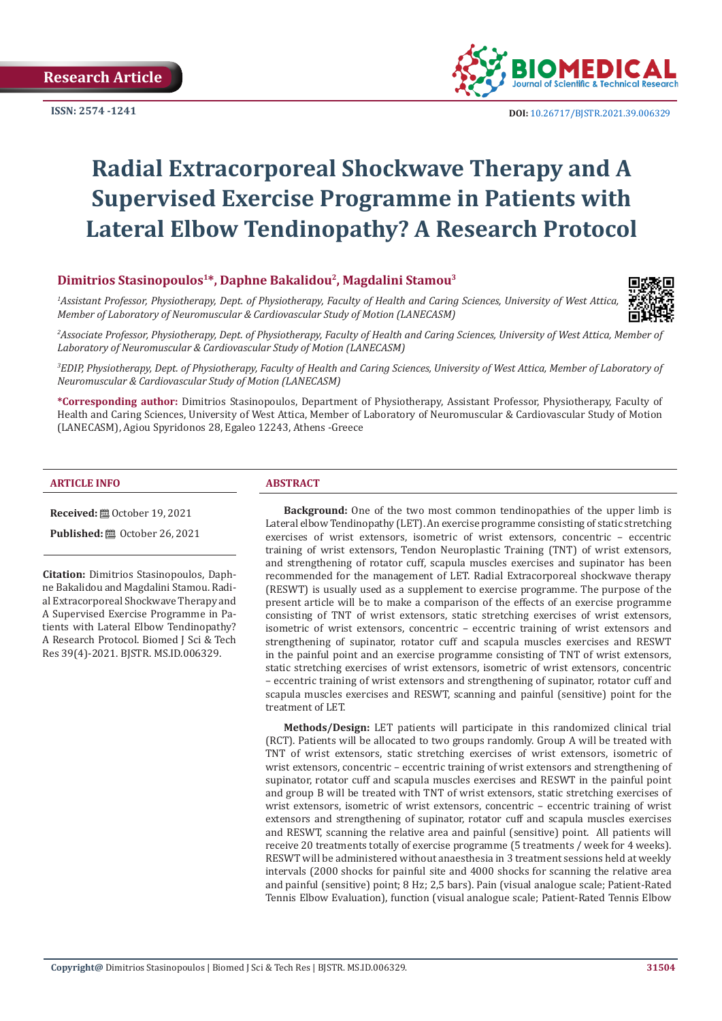**ISSN: 2574 -1241**



 **DOI:** [10.26717/BJSTR.2021.39.006329](https://dx.doi.org/10.26717/BJSTR.2021.39.006329)

## **Radial Extracorporeal Shockwave Therapy and A Supervised Exercise Programme in Patients with Lateral Elbow Tendinopathy? A Research Protocol**

### **Dimitrios Stasinopoulos1\*, Daphne Bakalidou2, Magdalini Stamou3**

*1 Assistant Professor, Physiotherapy, Dept. of Physiotherapy, Faculty of Health and Caring Sciences, University of West Attica, Member of Laboratory of Neuromuscular & Cardiovascular Study of Motion (LANECASM)* 



*2 Associate Professor, Physiotherapy, Dept. of Physiotherapy, Faculty of Health and Caring Sciences, University of West Attica, Member of Laboratory of Neuromuscular & Cardiovascular Study of Motion (LANECASM)* 

*3 EDIP, Physiotherapy, Dept. of Physiotherapy, Faculty of Health and Caring Sciences, University of West Attica, Member of Laboratory of Neuromuscular & Cardiovascular Study of Motion (LANECASM)* 

**\*Corresponding author:** Dimitrios Stasinopoulos, Department of Physiotherapy, Assistant Professor, Physiotherapy, Faculty of Health and Caring Sciences, University of West Attica, Member of Laboratory of Neuromuscular & Cardiovascular Study of Motion (LANECASM), Agiou Spyridonos 28, Egaleo 12243, Athens -Greece

#### **ARTICLE INFO ABSTRACT**

**Received:** ■ October 19, 2021

**Published:** ■ October 26, 2021

**Citation:** Dimitrios Stasinopoulos, Daphne Bakalidou and Magdalini Stamou. Radial Extracorporeal Shockwave Therapy and A Supervised Exercise Programme in Patients with Lateral Elbow Tendinopathy? A Research Protocol. Biomed J Sci & Tech Res 39(4)-2021. BJSTR. MS.ID.006329.

**Background:** One of the two most common tendinopathies of the upper limb is Lateral elbow Tendinopathy (LET). An exercise programme consisting of static stretching exercises of wrist extensors, isometric of wrist extensors, concentric – eccentric training of wrist extensors, Tendon Neuroplastic Training (TNT) of wrist extensors, and strengthening of rotator cuff, scapula muscles exercises and supinator has been recommended for the management of LET. Radial Extracorporeal shockwave therapy (RESWT) is usually used as a supplement to exercise programme. The purpose of the present article will be to make a comparison of the effects of an exercise programme consisting of TNT of wrist extensors, static stretching exercises of wrist extensors, isometric of wrist extensors, concentric – eccentric training of wrist extensors and strengthening of supinator, rotator cuff and scapula muscles exercises and RESWT in the painful point and an exercise programme consisting of TNT of wrist extensors, static stretching exercises of wrist extensors, isometric of wrist extensors, concentric – eccentric training of wrist extensors and strengthening of supinator, rotator cuff and scapula muscles exercises and RESWT, scanning and painful (sensitive) point for the treatment of LET.

**Methods/Design:** LET patients will participate in this randomized clinical trial (RCT). Patients will be allocated to two groups randomly. Group A will be treated with TNT of wrist extensors, static stretching exercises of wrist extensors, isometric of wrist extensors, concentric – eccentric training of wrist extensors and strengthening of supinator, rotator cuff and scapula muscles exercises and RESWT in the painful point and group B will be treated with TNT of wrist extensors, static stretching exercises of wrist extensors, isometric of wrist extensors, concentric – eccentric training of wrist extensors and strengthening of supinator, rotator cuff and scapula muscles exercises and RESWT, scanning the relative area and painful (sensitive) point. All patients will receive 20 treatments totally of exercise programme (5 treatments / week for 4 weeks). RESWT will be administered without anaesthesia in 3 treatment sessions held at weekly intervals (2000 shocks for painful site and 4000 shocks for scanning the relative area and painful (sensitive) point; 8 Hz; 2,5 bars). Pain (visual analogue scale; Patient-Rated Tennis Elbow Evaluation), function (visual analogue scale; Patient-Rated Tennis Elbow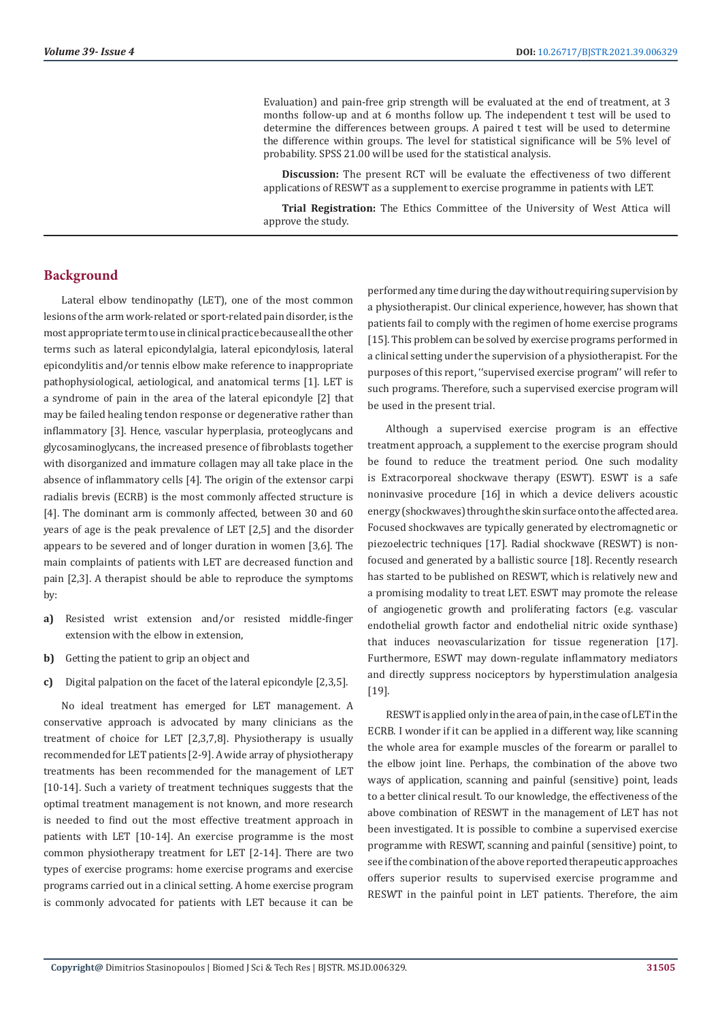Evaluation) and pain-free grip strength will be evaluated at the end of treatment, at 3 months follow-up and at 6 months follow up. The independent t test will be used to determine the differences between groups. A paired t test will be used to determine the difference within groups. The level for statistical significance will be 5% level of probability. SPSS 21.00 will be used for the statistical analysis.

**Discussion:** The present RCT will be evaluate the effectiveness of two different applications of RESWT as a supplement to exercise programme in patients with LET.

**Trial Registration:** The Ethics Committee of the University of West Attica will approve the study.

#### **Background**

Lateral elbow tendinopathy (LET), one of the most common lesions of the arm work-related or sport-related pain disorder, is the most appropriate term to use in clinical practice because all the other terms such as lateral epicondylalgia, lateral epicondylosis, lateral epicondylitis and/or tennis elbow make reference to inappropriate pathophysiological, aetiological, and anatomical terms [1]. LET is a syndrome of pain in the area of the lateral epicondyle [2] that may be failed healing tendon response or degenerative rather than inflammatory [3]. Hence, vascular hyperplasia, proteoglycans and glycosaminoglycans, the increased presence of fibroblasts together with disorganized and immature collagen may all take place in the absence of inflammatory cells [4]. The origin of the extensor carpi radialis brevis (ECRB) is the most commonly affected structure is [4]. The dominant arm is commonly affected, between 30 and 60 years of age is the peak prevalence of LET [2,5] and the disorder appears to be severed and of longer duration in women [3,6]. The main complaints of patients with LET are decreased function and pain [2,3]. A therapist should be able to reproduce the symptoms by:

- **a)** Resisted wrist extension and/or resisted middle-finger extension with the elbow in extension,
- **b)** Getting the patient to grip an object and
- **c)** Digital palpation on the facet of the lateral epicondyle [2,3,5].

No ideal treatment has emerged for LET management. A conservative approach is advocated by many clinicians as the treatment of choice for LET [2,3,7,8]. Physiotherapy is usually recommended for LET patients [2-9]. A wide array of physiotherapy treatments has been recommended for the management of LET [10-14]. Such a variety of treatment techniques suggests that the optimal treatment management is not known, and more research is needed to find out the most effective treatment approach in patients with LET [10-14]. An exercise programme is the most common physiotherapy treatment for LET [2-14]. There are two types of exercise programs: home exercise programs and exercise programs carried out in a clinical setting. A home exercise program is commonly advocated for patients with LET because it can be

performed any time during the day without requiring supervision by a physiotherapist. Our clinical experience, however, has shown that patients fail to comply with the regimen of home exercise programs [15]. This problem can be solved by exercise programs performed in a clinical setting under the supervision of a physiotherapist. For the purposes of this report, ''supervised exercise program'' will refer to such programs. Therefore, such a supervised exercise program will be used in the present trial.

Although a supervised exercise program is an effective treatment approach, a supplement to the exercise program should be found to reduce the treatment period. One such modality is Extracorporeal shockwave therapy (ESWT). ESWT is a safe noninvasive procedure [16] in which a device delivers acoustic energy (shockwaves) through the skin surface onto the affected area. Focused shockwaves are typically generated by electromagnetic or piezoelectric techniques [17]. Radial shockwave (RESWT) is nonfocused and generated by a ballistic source [18]. Recently research has started to be published on RESWT, which is relatively new and a promising modality to treat LET. ESWT may promote the release of angiogenetic growth and proliferating factors (e.g. vascular endothelial growth factor and endothelial nitric oxide synthase) that induces neovascularization for tissue regeneration [17]. Furthermore, ESWT may down-regulate inflammatory mediators and directly suppress nociceptors by hyperstimulation analgesia [19].

RESWT is applied only in the area of pain, in the case of LET in the ECRB. I wonder if it can be applied in a different way, like scanning the whole area for example muscles of the forearm or parallel to the elbow joint line. Perhaps, the combination of the above two ways of application, scanning and painful (sensitive) point, leads to a better clinical result. To our knowledge, the effectiveness of the above combination of RESWT in the management of LET has not been investigated. It is possible to combine a supervised exercise programme with RESWT, scanning and painful (sensitive) point, to see if the combination of the above reported therapeutic approaches offers superior results to supervised exercise programme and RESWT in the painful point in LET patients. Therefore, the aim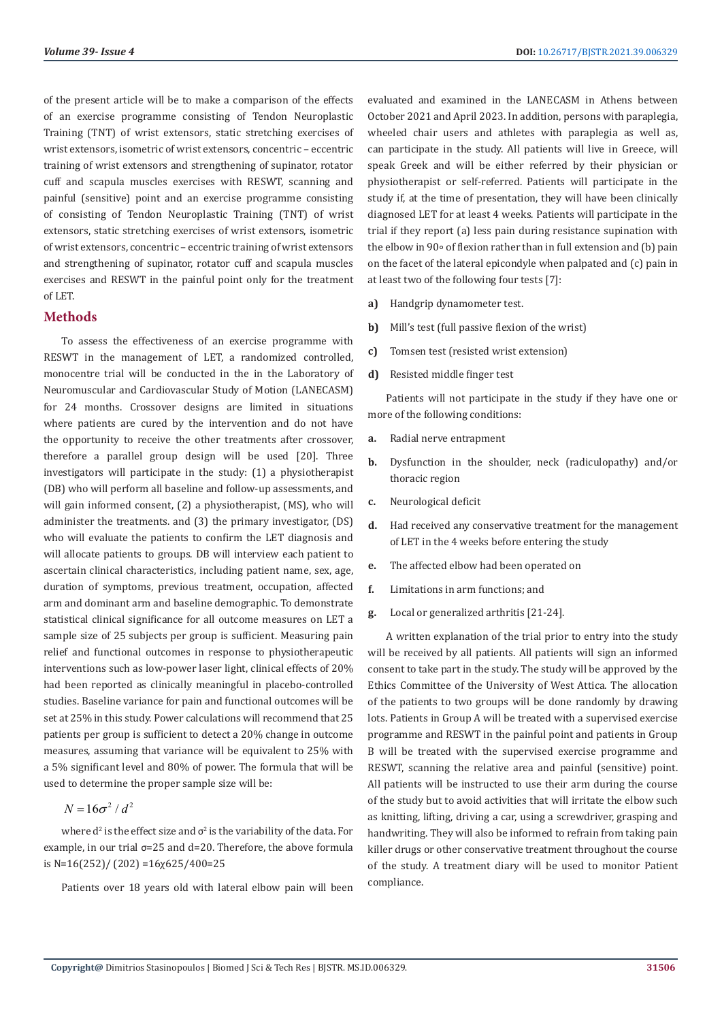of the present article will be to make a comparison of the effects of an exercise programme consisting of Tendon Neuroplastic Training (TNT) of wrist extensors, static stretching exercises of wrist extensors, isometric of wrist extensors, concentric – eccentric training of wrist extensors and strengthening of supinator, rotator cuff and scapula muscles exercises with RESWT, scanning and painful (sensitive) point and an exercise programme consisting of consisting of Tendon Neuroplastic Training (TNT) of wrist extensors, static stretching exercises of wrist extensors, isometric of wrist extensors, concentric – eccentric training of wrist extensors and strengthening of supinator, rotator cuff and scapula muscles exercises and RESWT in the painful point only for the treatment of LET.

#### **Methods**

To assess the effectiveness of an exercise programme with RESWT in the management of LET, a randomized controlled, monocentre trial will be conducted in the in the Laboratory of Neuromuscular and Cardiovascular Study of Motion (LANECASM) for 24 months. Crossover designs are limited in situations where patients are cured by the intervention and do not have the opportunity to receive the other treatments after crossover, therefore a parallel group design will be used [20]. Three investigators will participate in the study: (1) a physiotherapist (DB) who will perform all baseline and follow-up assessments, and will gain informed consent, (2) a physiotherapist, (MS), who will administer the treatments. and (3) the primary investigator, (DS) who will evaluate the patients to confirm the LET diagnosis and will allocate patients to groups. DB will interview each patient to ascertain clinical characteristics, including patient name, sex, age, duration of symptoms, previous treatment, occupation, affected arm and dominant arm and baseline demographic. To demonstrate statistical clinical significance for all outcome measures on LET a sample size of 25 subjects per group is sufficient. Measuring pain relief and functional outcomes in response to physiotherapeutic interventions such as low-power laser light, clinical effects of 20% had been reported as clinically meaningful in placebo-controlled studies. Baseline variance for pain and functional outcomes will be set at 25% in this study. Power calculations will recommend that 25 patients per group is sufficient to detect a 20% change in outcome measures, assuming that variance will be equivalent to 25% with a 5% significant level and 80% of power. The formula that will be used to determine the proper sample size will be:

$$
N=16\sigma^2/d^2
$$

where  $d^2$  is the effect size and  $\sigma^2$  is the variability of the data. For example, in our trial σ=25 and d=20. Therefore, the above formula is N=16(252)/ (202) =16χ625/400=25

Patients over 18 years old with lateral elbow pain will been

evaluated and examined in the LANECASM in Athens between October 2021 and April 2023. In addition, persons with paraplegia, wheeled chair users and athletes with paraplegia as well as, can participate in the study. All patients will live in Greece, will speak Greek and will be either referred by their physician or physiotherapist or self-referred. Patients will participate in the study if, at the time of presentation, they will have been clinically diagnosed LET for at least 4 weeks. Patients will participate in the trial if they report (a) less pain during resistance supination with the elbow in 90∘ of flexion rather than in full extension and (b) pain on the facet of the lateral epicondyle when palpated and (c) pain in at least two of the following four tests [7]:

- **a)** Handgrip dynamometer test.
- **b)** Mill's test (full passive flexion of the wrist)
- **c)** Tomsen test (resisted wrist extension)
- **d)** Resisted middle finger test

Patients will not participate in the study if they have one or more of the following conditions:

- **a.** Radial nerve entrapment
- **b.** Dysfunction in the shoulder, neck (radiculopathy) and/or thoracic region
- **c.** Neurological deficit
- **d.** Had received any conservative treatment for the management of LET in the 4 weeks before entering the study
- **e.** The affected elbow had been operated on
- **f.** Limitations in arm functions; and
- **g.** Local or generalized arthritis [21-24].

A written explanation of the trial prior to entry into the study will be received by all patients. All patients will sign an informed consent to take part in the study. The study will be approved by the Ethics Committee of the University of West Attica. The allocation of the patients to two groups will be done randomly by drawing lots. Patients in Group A will be treated with a supervised exercise programme and RESWT in the painful point and patients in Group B will be treated with the supervised exercise programme and RESWT, scanning the relative area and painful (sensitive) point. All patients will be instructed to use their arm during the course of the study but to avoid activities that will irritate the elbow such as knitting, lifting, driving a car, using a screwdriver, grasping and handwriting. They will also be informed to refrain from taking pain killer drugs or other conservative treatment throughout the course of the study. A treatment diary will be used to monitor Patient compliance.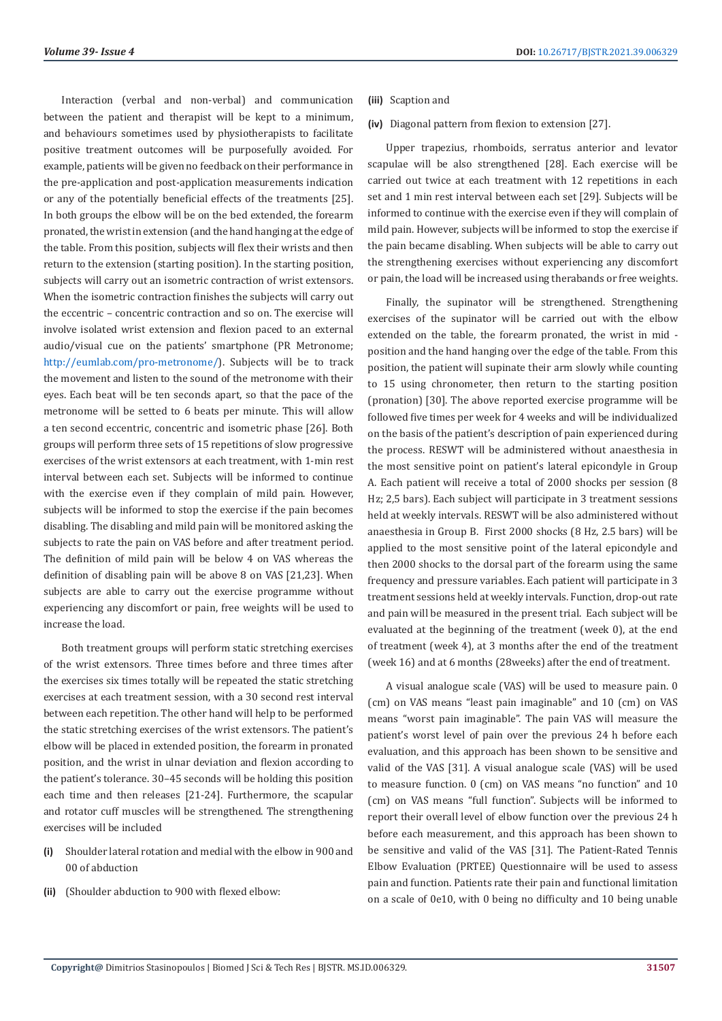Interaction (verbal and non-verbal) and communication between the patient and therapist will be kept to a minimum, and behaviours sometimes used by physiotherapists to facilitate positive treatment outcomes will be purposefully avoided. For example, patients will be given no feedback on their performance in the pre-application and post-application measurements indication or any of the potentially beneficial effects of the treatments [25]. In both groups the elbow will be on the bed extended, the forearm pronated, the wrist in extension (and the hand hanging at the edge of the table. From this position, subjects will flex their wrists and then return to the extension (starting position). In the starting position, subjects will carry out an isometric contraction of wrist extensors. When the isometric contraction finishes the subjects will carry out the eccentric – concentric contraction and so on. The exercise will involve isolated wrist extension and flexion paced to an external audio/visual cue on the patients' smartphone (PR Metronome; <http://eumlab.com/pro-metronome/>). Subjects will be to track the movement and listen to the sound of the metronome with their eyes. Each beat will be ten seconds apart, so that the pace of the metronome will be setted to 6 beats per minute. This will allow a ten second eccentric, concentric and isometric phase [26]. Both groups will perform three sets of 15 repetitions of slow progressive exercises of the wrist extensors at each treatment, with 1-min rest interval between each set. Subjects will be informed to continue with the exercise even if they complain of mild pain. However, subjects will be informed to stop the exercise if the pain becomes disabling. The disabling and mild pain will be monitored asking the subjects to rate the pain on VAS before and after treatment period. The definition of mild pain will be below 4 on VAS whereas the definition of disabling pain will be above 8 on VAS [21,23]. When subjects are able to carry out the exercise programme without experiencing any discomfort or pain, free weights will be used to increase the load.

Both treatment groups will perform static stretching exercises of the wrist extensors. Three times before and three times after the exercises six times totally will be repeated the static stretching exercises at each treatment session, with a 30 second rest interval between each repetition. The other hand will help to be performed the static stretching exercises of the wrist extensors. The patient's elbow will be placed in extended position, the forearm in pronated position, and the wrist in ulnar deviation and flexion according to the patient's tolerance. 30–45 seconds will be holding this position each time and then releases [21-24]. Furthermore, the scapular and rotator cuff muscles will be strengthened. The strengthening exercises will be included

- **(i)** Shoulder lateral rotation and medial with the elbow in 900 and 00 of abduction
- **(ii)** (Shoulder abduction to 900 with flexed elbow:
- **(iii)** Scaption and
- **(iv)** Diagonal pattern from flexion to extension [27].

Upper trapezius, rhomboids, serratus anterior and levator scapulae will be also strengthened [28]. Each exercise will be carried out twice at each treatment with 12 repetitions in each set and 1 min rest interval between each set [29]. Subjects will be informed to continue with the exercise even if they will complain of mild pain. However, subjects will be informed to stop the exercise if the pain became disabling. When subjects will be able to carry out the strengthening exercises without experiencing any discomfort or pain, the load will be increased using therabands or free weights.

Finally, the supinator will be strengthened. Strengthening exercises of the supinator will be carried out with the elbow extended on the table, the forearm pronated, the wrist in mid position and the hand hanging over the edge of the table. From this position, the patient will supinate their arm slowly while counting to 15 using chronometer, then return to the starting position (pronation) [30]. The above reported exercise programme will be followed five times per week for 4 weeks and will be individualized on the basis of the patient's description of pain experienced during the process. RESWT will be administered without anaesthesia in the most sensitive point on patient's lateral epicondyle in Group A. Each patient will receive a total of 2000 shocks per session (8 Hz; 2,5 bars). Each subject will participate in 3 treatment sessions held at weekly intervals. RESWT will be also administered without anaesthesia in Group B. First 2000 shocks (8 Hz, 2.5 bars) will be applied to the most sensitive point of the lateral epicondyle and then 2000 shocks to the dorsal part of the forearm using the same frequency and pressure variables. Each patient will participate in 3 treatment sessions held at weekly intervals. Function, drop-out rate and pain will be measured in the present trial. Each subject will be evaluated at the beginning of the treatment (week 0), at the end of treatment (week 4), at 3 months after the end of the treatment (week 16) and at 6 months (28weeks) after the end of treatment.

A visual analogue scale (VAS) will be used to measure pain. 0 (cm) on VAS means "least pain imaginable" and 10 (cm) on VAS means "worst pain imaginable". The pain VAS will measure the patient's worst level of pain over the previous 24 h before each evaluation, and this approach has been shown to be sensitive and valid of the VAS [31]. A visual analogue scale (VAS) will be used to measure function. 0 (cm) on VAS means "no function" and 10 (cm) on VAS means "full function". Subjects will be informed to report their overall level of elbow function over the previous 24 h before each measurement, and this approach has been shown to be sensitive and valid of the VAS [31]. The Patient-Rated Tennis Elbow Evaluation (PRTEE) Questionnaire will be used to assess pain and function. Patients rate their pain and functional limitation on a scale of 0e10, with 0 being no difficulty and 10 being unable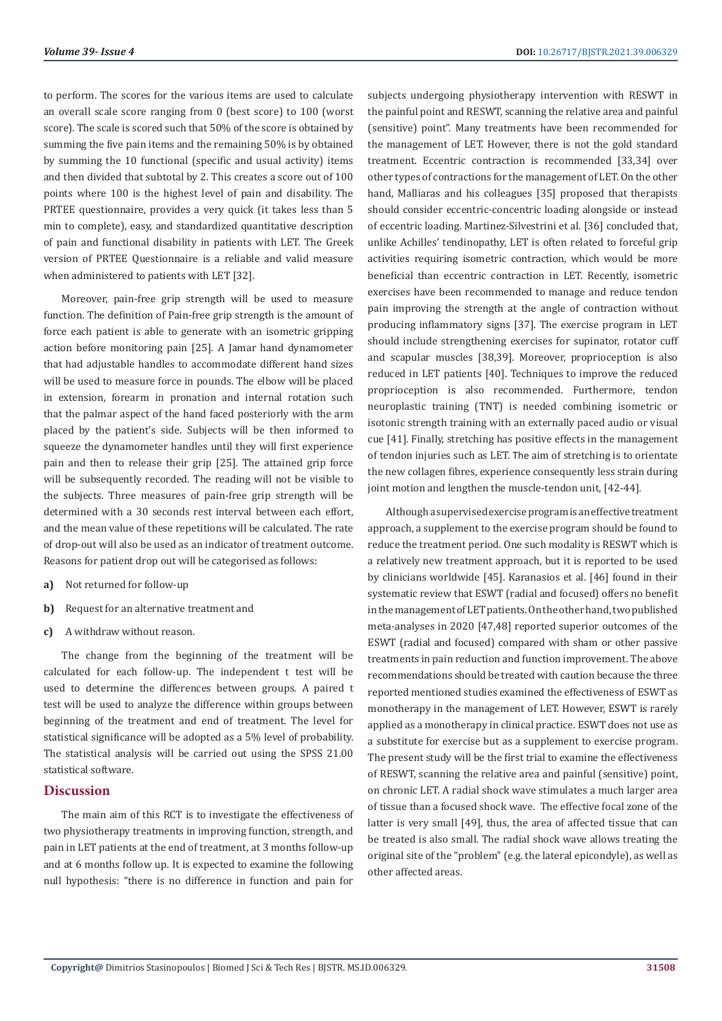to perform. The scores for the various items are used to calculate an overall scale score ranging from 0 (best score) to 100 (worst score). The scale is scored such that 50% of the score is obtained by summing the five pain items and the remaining 50% is by obtained by summing the 10 functional (specific and usual activity) items and then divided that subtotal by 2. This creates a score out of 100 points where 100 is the highest level of pain and disability. The PRTEE questionnaire, provides a very quick (it takes less than 5 min to complete), easy, and standardized quantitative description of pain and functional disability in patients with LET. The Greek version of PRTEE Questionnaire is a reliable and valid measure when administered to patients with LET [32].

Moreover, pain-free grip strength will be used to measure function. The definition of Pain-free grip strength is the amount of force each patient is able to generate with an isometric gripping action before monitoring pain [25]. A Jamar hand dynamometer that had adjustable handles to accommodate different hand sizes will be used to measure force in pounds. The elbow will be placed in extension, forearm in pronation and internal rotation such that the palmar aspect of the hand faced posteriorly with the arm placed by the patient's side. Subjects will be then informed to squeeze the dynamometer handles until they will first experience pain and then to release their grip [25]. The attained grip force will be subsequently recorded. The reading will not be visible to the subjects. Three measures of pain-free grip strength will be determined with a 30 seconds rest interval between each effort, and the mean value of these repetitions will be calculated. The rate of drop-out will also be used as an indicator of treatment outcome. Reasons for patient drop out will be categorised as follows:

- **a)** Not returned for follow-up
- **b)** Request for an alternative treatment and
- **c)** A withdraw without reason.

The change from the beginning of the treatment will be calculated for each follow-up. The independent t test will be used to determine the differences between groups. A paired t test will be used to analyze the difference within groups between beginning of the treatment and end of treatment. The level for statistical significance will be adopted as a 5% level of probability. The statistical analysis will be carried out using the SPSS 21.00 statistical software.

#### **Discussion**

The main aim of this RCT is to investigate the effectiveness of two physiotherapy treatments in improving function, strength, and pain in LET patients at the end of treatment, at 3 months follow-up and at 6 months follow up. It is expected to examine the following null hypothesis: "there is no difference in function and pain for

subjects undergoing physiotherapy intervention with RESWT in the painful point and RESWT, scanning the relative area and painful (sensitive) point". Many treatments have been recommended for the management of LET. However, there is not the gold standard treatment. Eccentric contraction is recommended [33,34] over other types of contractions for the management of LET. On the other hand, Malliaras and his colleagues [35] proposed that therapists should consider eccentric-concentric loading alongside or instead of eccentric loading. Martinez-Silvestrini et al. [36] concluded that, unlike Achilles' tendinopathy, LET is often related to forceful grip activities requiring isometric contraction, which would be more beneficial than eccentric contraction in LET. Recently, isometric exercises have been recommended to manage and reduce tendon pain improving the strength at the angle of contraction without producing inflammatory signs [37]. The exercise program in LET should include strengthening exercises for supinator, rotator cuff and scapular muscles [38,39]. Moreover, proprioception is also reduced in LET patients [40]. Techniques to improve the reduced proprioception is also recommended. Furthermore, tendon neuroplastic training (TNT) is needed combining isometric or isotonic strength training with an externally paced audio or visual cue [41]. Finally, stretching has positive effects in the management of tendon injuries such as LET. Τhe aim of stretching is to orientate the new collagen fibres, experience consequently less strain during joint motion and lengthen the muscle-tendon unit, [42-44].

Although a supervised exercise program is an effective treatment approach, a supplement to the exercise program should be found to reduce the treatment period. One such modality is RESWT which is a relatively new treatment approach, but it is reported to be used by clinicians worldwide [45]. Karanasios et al. [46] found in their systematic review that ESWT (radial and focused) offers no benefit in the management of LET patients. On the other hand, two published meta-analyses in 2020 [47,48] reported superior outcomes of the ESWT (radial and focused) compared with sham or other passive treatments in pain reduction and function improvement. The above recommendations should be treated with caution because the three reported mentioned studies examined the effectiveness of ESWT as monotherapy in the management of LET. However, ESWT is rarely applied as a monotherapy in clinical practice. ESWT does not use as a substitute for exercise but as a supplement to exercise program. The present study will be the first trial to examine the effectiveness of RESWT, scanning the relative area and painful (sensitive) point, on chronic LET. A radial shock wave stimulates a much larger area of tissue than a focused shock wave. The effective focal zone of the latter is very small [49], thus, the area of affected tissue that can be treated is also small. The radial shock wave allows treating the original site of the "problem" (e.g. the lateral epicondyle), as well as other affected areas.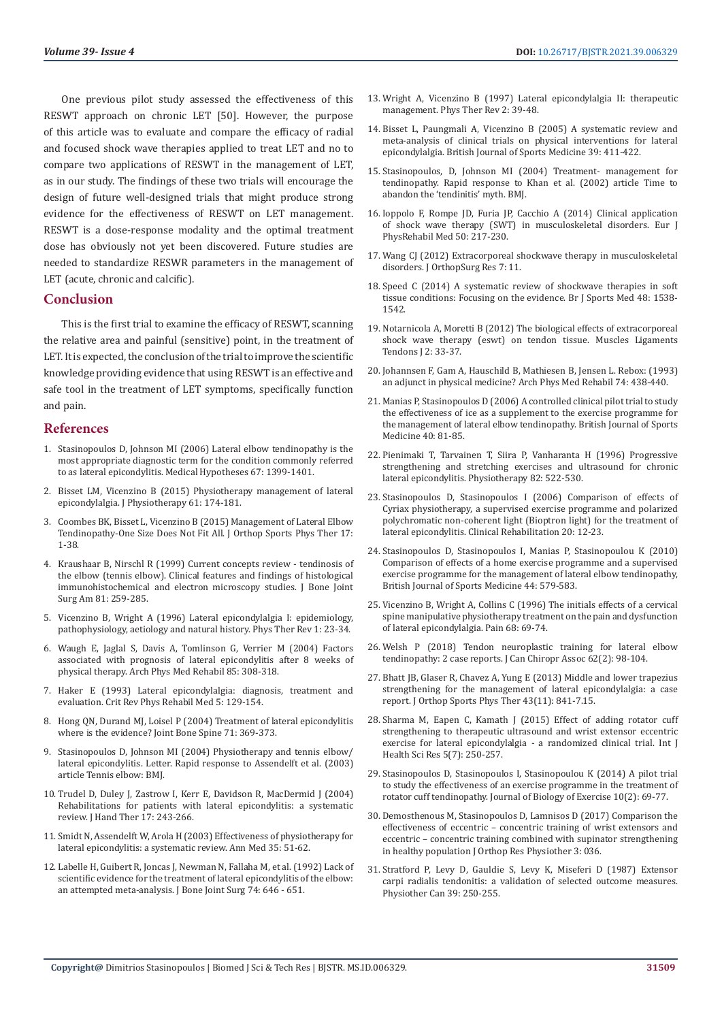One previous pilot study assessed the effectiveness of this RESWT approach on chronic LET [50]. However, the purpose of this article was to evaluate and compare the efficacy of radial and focused shock wave therapies applied to treat LET and no to compare two applications of RESWT in the management of LET, as in our study. The findings of these two trials will encourage the design of future well-designed trials that might produce strong evidence for the effectiveness of RESWT on LET management. RESWT is a dose-response modality and the optimal treatment dose has obviously not yet been discovered. Future studies are needed to standardize RESWR parameters in the management of LET (acute, chronic and calcific).

#### **Conclusion**

This is the first trial to examine the efficacy of RESWT, scanning the relative area and painful (sensitive) point, in the treatment of LET. It is expected, the conclusion of the trial to improve the scientific knowledge providing evidence that using RESWT is an effective and safe tool in the treatment of LET symptoms, specifically function and pain.

#### **References**

- 1. [Stasinopoulos D, Johnson MI \(2006\) Lateral elbow tendinopathy is the](https://pubmed.ncbi.nlm.nih.gov/16843614/)  [most appropriate diagnostic term for the condition commonly referred](https://pubmed.ncbi.nlm.nih.gov/16843614/)  [to as lateral epicondylitis. Medical Hypotheses 67: 1399-1401.](https://pubmed.ncbi.nlm.nih.gov/16843614/)
- 2. [Bisset LM, Vicenzino B \(2015\) Physiotherapy management of lateral](https://pubmed.ncbi.nlm.nih.gov/26361816/)  [epicondylalgia. J Physiotherapy 61: 174-181.](https://pubmed.ncbi.nlm.nih.gov/26361816/)
- 3. [Coombes BK, Bisset L, Vicenzino B \(2015\) Management of Lateral Elbow](https://www.researchgate.net/publication/282046495_Management_of_Lateral_Elbow_Tendinopathy-One_Size_Does_Not_Fit_All)  [Tendinopathy-One Size Does Not Fit All. J Orthop Sports Phys Ther 17:](https://www.researchgate.net/publication/282046495_Management_of_Lateral_Elbow_Tendinopathy-One_Size_Does_Not_Fit_All)  [1-38.](https://www.researchgate.net/publication/282046495_Management_of_Lateral_Elbow_Tendinopathy-One_Size_Does_Not_Fit_All)
- 4. [Kraushaar B, Nirschl R \(1999\) Current concepts review tendinosis of](https://journals.lww.com/jbjsjournal/fulltext/1999/02000/current_concepts_review___tendinosis_of_the_elbow.14.aspx)  [the elbow \(tennis elbow\). Clinical features and findings of histological](https://journals.lww.com/jbjsjournal/fulltext/1999/02000/current_concepts_review___tendinosis_of_the_elbow.14.aspx)  [immunohistochemical and electron microscopy studies. J Bone Joint](https://journals.lww.com/jbjsjournal/fulltext/1999/02000/current_concepts_review___tendinosis_of_the_elbow.14.aspx)  [Surg Am 81: 259-285.](https://journals.lww.com/jbjsjournal/fulltext/1999/02000/current_concepts_review___tendinosis_of_the_elbow.14.aspx)
- 5. [Vicenzino B, Wright A \(1996\) Lateral epicondylalgia I: epidemiology,](https://www.tandfonline.com/doi/abs/10.1179/ptr.1996.1.1.23?journalCode=yptr20)  [pathophysiology, aetiology and natural history. Phys Ther Rev 1: 23-34.](https://www.tandfonline.com/doi/abs/10.1179/ptr.1996.1.1.23?journalCode=yptr20)
- 6. [Waugh E, Jaglal S, Davis A, Tomlinson G, Verrier M \(2004\) Factors](https://pubmed.ncbi.nlm.nih.gov/14966719/)  [associated with prognosis of lateral epicondylitis after 8 weeks of](https://pubmed.ncbi.nlm.nih.gov/14966719/)  [physical therapy. Arch Phys Med Rehabil 85: 308-318.](https://pubmed.ncbi.nlm.nih.gov/14966719/)
- 7. Haker E (1993) Lateral epicondylalgia: diagnosis, treatment and evaluation. Crit Rev Phys Rehabil Med 5: 129-154.
- 8. [Hong QN, Durand MJ, Loisel P \(2004\) Treatment of lateral epicondylitis](https://pubmed.ncbi.nlm.nih.gov/15474386/)  [where is the evidence? Joint Bone Spine 71: 369-373.](https://pubmed.ncbi.nlm.nih.gov/15474386/)
- 9. Stasinopoulos D, Johnson MI (2004) Physiotherapy and tennis elbow/ lateral epicondylitis. Letter. Rapid response to Assendelft et al. (2003) article Tennis elbow: BMJ.
- 10. [Trudel D, Duley J, Zastrow I, Kerr E, Davidson R, MacDermid J \(2004\)](https://pubmed.ncbi.nlm.nih.gov/15162109/)  [Rehabilitations for patients with lateral epicondylitis: a systematic](https://pubmed.ncbi.nlm.nih.gov/15162109/)  [review. J Hand Ther 17: 243-266.](https://pubmed.ncbi.nlm.nih.gov/15162109/)
- 11. [Smidt N, Assendelft W, Arola H \(2003\) Effectiveness of physiotherapy for](https://pubmed.ncbi.nlm.nih.gov/12693613/)  [lateral epicondylitis: a systematic review. Ann Med 35: 51-62.](https://pubmed.ncbi.nlm.nih.gov/12693613/)
- 12. [Labelle H, Guibert R, Joncas J, Newman N, Fallaha M, et al. \(1992\) Lack of](https://pubmed.ncbi.nlm.nih.gov/1388172/)  [scientific evidence for the treatment of lateral epicondylitis of the elbow:](https://pubmed.ncbi.nlm.nih.gov/1388172/)  [an attempted meta-analysis. J Bone Joint Surg 74: 646 - 651.](https://pubmed.ncbi.nlm.nih.gov/1388172/)
- 13. [Wright A, Vicenzino B \(1997\) Lateral epicondylalgia II: therapeutic](https://www.tandfonline.com/doi/abs/10.1179/ptr.1997.2.1.39) [management. Phys Ther Rev 2: 39-48.](https://www.tandfonline.com/doi/abs/10.1179/ptr.1997.2.1.39)
- 14. [Bisset L, Paungmali A, Vicenzino B \(2005\) A systematic review and](https://www.ncbi.nlm.nih.gov/pmc/articles/PMC1725258/) [meta-analysis of clinical trials on physical interventions for lateral](https://www.ncbi.nlm.nih.gov/pmc/articles/PMC1725258/) [epicondylalgia. British Journal of Sports Medicine 39: 411-422.](https://www.ncbi.nlm.nih.gov/pmc/articles/PMC1725258/)
- 15. Stasinopoulos, D, Johnson MI (2004) Treatment- management for tendinopathy. Rapid response to Khan et al. (2002) article Time to abandon the 'tendinitis' myth. BMJ.
- 16. [Ioppolo F, Rompe JD, Furia JP, Cacchio A \(2014\) Clinical application](https://pubmed.ncbi.nlm.nih.gov/24667365/) [of shock wave therapy \(SWT\) in musculoskeletal disorders. Eur J](https://pubmed.ncbi.nlm.nih.gov/24667365/) [PhysRehabil Med 50: 217-230.](https://pubmed.ncbi.nlm.nih.gov/24667365/)
- 17. [Wang CJ \(2012\) Extracorporeal shockwave therapy in musculoskeletal](https://www.ncbi.nlm.nih.gov/pmc/articles/PMC3342893/) [disorders. J OrthopSurg Res 7: 11.](https://www.ncbi.nlm.nih.gov/pmc/articles/PMC3342893/)
- 18. [Speed C \(2014\) A systematic review of shockwave therapies in soft](https://pubmed.ncbi.nlm.nih.gov/23918444/) [tissue conditions: Focusing on the evidence. Br J Sports Med 48: 1538-](https://pubmed.ncbi.nlm.nih.gov/23918444/) [1542.](https://pubmed.ncbi.nlm.nih.gov/23918444/)
- 19. [Notarnicola A, Moretti B \(2012\) The biological effects of extracorporeal](https://pubmed.ncbi.nlm.nih.gov/23738271/) [shock wave therapy \(eswt\) on tendon tissue. Muscles Ligaments](https://pubmed.ncbi.nlm.nih.gov/23738271/) [Tendons J 2: 33-37.](https://pubmed.ncbi.nlm.nih.gov/23738271/)
- 20. [Johannsen F, Gam A, Hauschild B, Mathiesen B, Jensen L. Rebox: \(1993\)](https://europepmc.org/article/med/8466428) [an adjunct in physical medicine? Arch Phys Med Rehabil 74: 438-440.](https://europepmc.org/article/med/8466428)
- 21. [Manias P, Stasinopoulos D \(2006\) A controlled clinical pilot trial to study](https://pubmed.ncbi.nlm.nih.gov/16371498/) [the effectiveness of ice as a supplement to the exercise programme for](https://pubmed.ncbi.nlm.nih.gov/16371498/) [the management of lateral elbow tendinopathy. British Journal of Sports](https://pubmed.ncbi.nlm.nih.gov/16371498/) [Medicine 40: 81-85.](https://pubmed.ncbi.nlm.nih.gov/16371498/)
- 22. [Pienimaki T, Tarvainen T, Siira P, Vanharanta H \(1996\) Progressive](https://www.sciencedirect.com/science/article/abs/pii/S003194060566275X) [strengthening and stretching exercises and ultrasound for chronic](https://www.sciencedirect.com/science/article/abs/pii/S003194060566275X) [lateral epicondylitis. Physiotherapy 82: 522-530.](https://www.sciencedirect.com/science/article/abs/pii/S003194060566275X)
- 23. [Stasinopoulos D, Stasinopoulos I \(2006\) Comparison of effects of](https://pubmed.ncbi.nlm.nih.gov/16502745/) [Cyriax physiotherapy, a supervised exercise programme and polarized](https://pubmed.ncbi.nlm.nih.gov/16502745/) [polychromatic non-coherent light \(Bioptron light\) for the treatment of](https://pubmed.ncbi.nlm.nih.gov/16502745/) [lateral epicondylitis. Clinical Rehabilitation 20: 12-23.](https://pubmed.ncbi.nlm.nih.gov/16502745/)
- 24. [Stasinopoulos D, Stasinopoulos I, Manias P, Stasinopoulou K \(2010\)](https://pubmed.ncbi.nlm.nih.gov/19887440/) [Comparison of effects of a home exercise programme and a supervised](https://pubmed.ncbi.nlm.nih.gov/19887440/) [exercise programme for the management of lateral elbow tendinopathy,](https://pubmed.ncbi.nlm.nih.gov/19887440/) [British Journal of Sports Medicine 44: 579-583.](https://pubmed.ncbi.nlm.nih.gov/19887440/)
- 25. [Vicenzino B, Wright A, Collins C \(1996\) The initials effects of a cervical](https://pubmed.ncbi.nlm.nih.gov/9252000/) [spine manipulative physiotherapy treatment on the pain and dysfunction](https://pubmed.ncbi.nlm.nih.gov/9252000/) [of lateral epicondylalgia. Pain 68: 69-74.](https://pubmed.ncbi.nlm.nih.gov/9252000/)
- 26. [Welsh P \(2018\) Tendon neuroplastic training for lateral elbow](https://pubmed.ncbi.nlm.nih.gov/30305765/) [tendinopathy: 2 case reports. J Can Chiropr Assoc 62\(2\): 98-104.](https://pubmed.ncbi.nlm.nih.gov/30305765/)
- 27. [Bhatt JB, Glaser R, Chavez A, Yung E \(2013\) Middle and lower trapezius](https://pubmed.ncbi.nlm.nih.gov/24175610/) [strengthening for the management of lateral epicondylalgia: a case](https://pubmed.ncbi.nlm.nih.gov/24175610/) [report. J Orthop Sports Phys Ther 43\(11\): 841-7.15.](https://pubmed.ncbi.nlm.nih.gov/24175610/)
- 28. Sharma M, Eapen C, Kamath J (2015) Effect of adding rotator cuff strengthening to therapeutic ultrasound and wrist extensor eccentric exercise for lateral epicondylalgia - a randomized clinical trial. Int J Health Sci Res 5(7): 250-257.
- 29. [Stasinopoulos D, Stasinopoulos I, Stasinopoulou K \(2014\) A pilot trial](https://www.researchgate.net/publication/267329485_A_pilot_trial_to_study_the_effectiveness_of_an_exercise_programme_in_the_treatment_of_rotator_cuff_tendinopathy) [to study the effectiveness of an exercise programme in the treatment of](https://www.researchgate.net/publication/267329485_A_pilot_trial_to_study_the_effectiveness_of_an_exercise_programme_in_the_treatment_of_rotator_cuff_tendinopathy) [rotator cuff tendinopathy. Journal of Biology of Exercise 10\(2\): 69-77.](https://www.researchgate.net/publication/267329485_A_pilot_trial_to_study_the_effectiveness_of_an_exercise_programme_in_the_treatment_of_rotator_cuff_tendinopathy)
- 30. [Demosthenous M, Stasinopoulos D, Lamnisos D \(2017\) Comparison the](https://www.researchgate.net/publication/321385666_Comparison_of_the_Effectiveness_of_Eccentric_-_Concentric_Training_of_Wrist_Extensors_and_Eccentric_-_Concentric_Training_Combined_With_Supinator_Strengthening_in_Healthy_Population) [effectiveness of eccentric – concentric training of wrist extensors and](https://www.researchgate.net/publication/321385666_Comparison_of_the_Effectiveness_of_Eccentric_-_Concentric_Training_of_Wrist_Extensors_and_Eccentric_-_Concentric_Training_Combined_With_Supinator_Strengthening_in_Healthy_Population) [eccentric – concentric training combined with supinator strengthening](https://www.researchgate.net/publication/321385666_Comparison_of_the_Effectiveness_of_Eccentric_-_Concentric_Training_of_Wrist_Extensors_and_Eccentric_-_Concentric_Training_Combined_With_Supinator_Strengthening_in_Healthy_Population) [in healthy population J Orthop Res Physiother 3: 036.](https://www.researchgate.net/publication/321385666_Comparison_of_the_Effectiveness_of_Eccentric_-_Concentric_Training_of_Wrist_Extensors_and_Eccentric_-_Concentric_Training_Combined_With_Supinator_Strengthening_in_Healthy_Population)
- 31. Stratford P, Levy D, Gauldie S, Levy K, Miseferi D (1987) Extensor carpi radialis tendonitis: a validation of selected outcome measures. Physiother Can 39: 250-255.